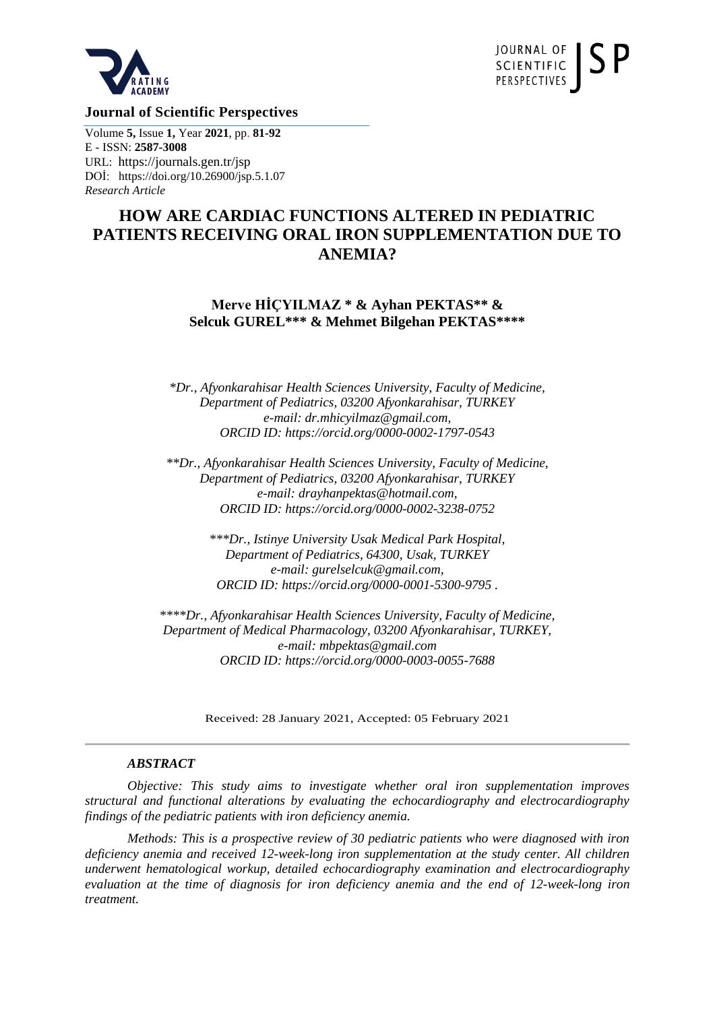



**Journal of Scientific Perspectives** 

Volume **5,** Issue **1,** Year **2021**, pp. **81-92** E - ISSN: **2587-3008** URL: https://journals.gen.tr/jsp DOİ:<https://doi.org/10.26900/jsp.5.1.07> *Research Article*

# **HOW ARE CARDIAC FUNCTIONS ALTERED IN PEDIATRIC PATIENTS RECEIVING ORAL IRON SUPPLEMENTATION DUE TO ANEMIA?**

**Merve HİÇYILMAZ \* & Ayhan PEKTAS\*\* & Selcuk GUREL\*\*\* & Mehmet Bilgehan PEKTAS\*\*\*\***

*\*Dr., Afyonkarahisar Health Sciences University, Faculty of Medicine, Department of Pediatrics, 03200 Afyonkarahisar, TURKEY e-mail: dr.mhicyilmaz@gmail.com, ORCID ID:<https://orcid.org/0000-0002-1797-0543>*

*\*\*Dr., Afyonkarahisar Health Sciences University, Faculty of Medicine, Department of Pediatrics, 03200 Afyonkarahisar, TURKEY e-mail: drayhanpektas@hotmail.com, ORCID ID:<https://orcid.org/0000-0002-3238-0752>*

> *\*\*\*Dr., Istinye University Usak Medical Park Hospital, Department of Pediatrics, 64300, Usak, TURKEY e-mail: gurelselcuk@gmail.com, ORCID ID:<https://orcid.org/0000-0001-5300-9795> .*

*\*\*\*\*Dr., Afyonkarahisar Health Sciences University, Faculty of Medicine, Department of Medical Pharmacology, 03200 Afyonkarahisar, TURKEY, e-mail: mbpektas@gmail.com ORCID ID:<https://orcid.org/0000-0003-0055-7688>*

Received: 28 January 2021, Accepted: 05 February 2021

#### *ABSTRACT*

*Objective: This study aims to investigate whether oral iron supplementation improves structural and functional alterations by evaluating the echocardiography and electrocardiography findings of the pediatric patients with iron deficiency anemia.*

*Methods: This is a prospective review of 30 pediatric patients who were diagnosed with iron deficiency anemia and received 12-week-long iron supplementation at the study center. All children underwent hematological workup, detailed echocardiography examination and electrocardiography evaluation at the time of diagnosis for iron deficiency anemia and the end of 12-week-long iron treatment.*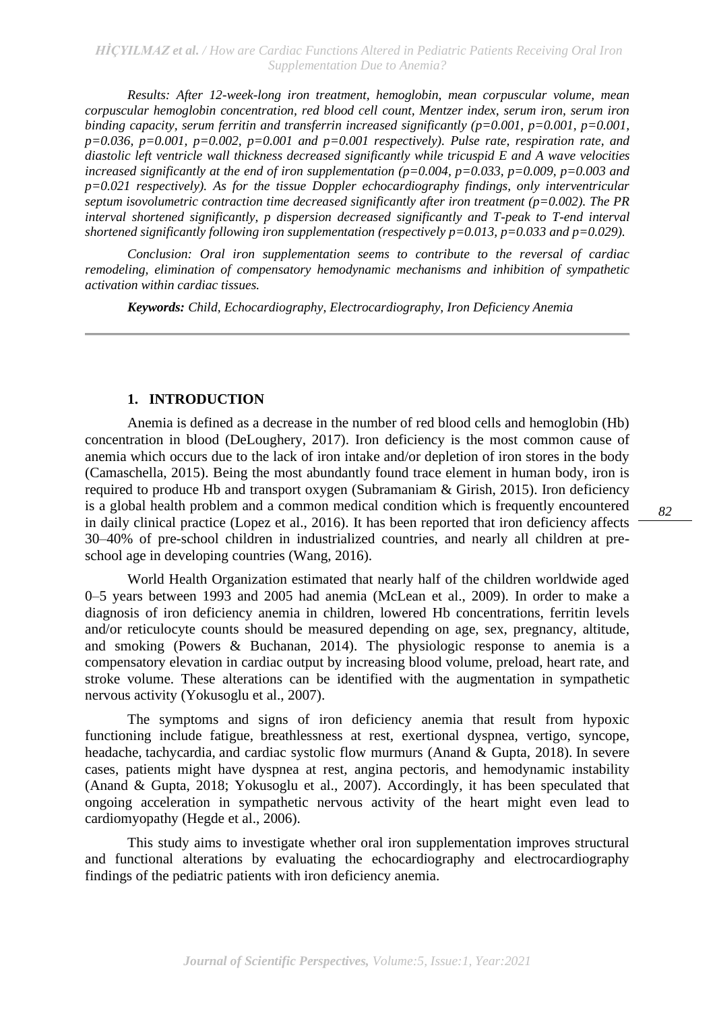*Results: After 12-week-long iron treatment, hemoglobin, mean corpuscular volume, mean corpuscular hemoglobin concentration, red blood cell count, Mentzer index, serum iron, serum iron binding capacity, serum ferritin and transferrin increased significantly (p=0.001, p=0.001, p=0.001, p=0.036, p=0.001, p=0.002, p=0.001 and p=0.001 respectively). Pulse rate, respiration rate, and diastolic left ventricle wall thickness decreased significantly while tricuspid E and A wave velocities increased significantly at the end of iron supplementation (p=0.004, p=0.033, p=0.009, p=0.003 and p=0.021 respectively). As for the tissue Doppler echocardiography findings, only interventricular septum isovolumetric contraction time decreased significantly after iron treatment (p=0.002). The PR interval shortened significantly, p dispersion decreased significantly and T-peak to T-end interval shortened significantly following iron supplementation (respectively p=0.013, p=0.033 and p=0.029).*

*Conclusion: Oral iron supplementation seems to contribute to the reversal of cardiac remodeling, elimination of compensatory hemodynamic mechanisms and inhibition of sympathetic activation within cardiac tissues.*

*Keywords: Child, Echocardiography, Electrocardiography, Iron Deficiency Anemia*

## **1. INTRODUCTION**

Anemia is defined as a decrease in the number of red blood cells and hemoglobin (Hb) concentration in blood (DeLoughery, 2017). Iron deficiency is the most common cause of anemia which occurs due to the lack of iron intake and/or depletion of iron stores in the body (Camaschella, 2015). Being the most abundantly found trace element in human body, iron is required to produce Hb and transport oxygen (Subramaniam & Girish, 2015). Iron deficiency is a global health problem and a common medical condition which is frequently encountered in daily clinical practice (Lopez et al., 2016). It has been reported that iron deficiency affects 30–40% of pre-school children in industrialized countries, and nearly all children at preschool age in developing countries (Wang, 2016).

World Health Organization estimated that nearly half of the children worldwide aged 0–5 years between 1993 and 2005 had anemia (McLean et al., 2009). In order to make a diagnosis of iron deficiency anemia in children, lowered Hb concentrations, ferritin levels and/or reticulocyte counts should be measured depending on age, sex, pregnancy, altitude, and smoking (Powers & Buchanan, 2014). The physiologic response to anemia is a compensatory elevation in cardiac output by increasing blood volume, preload, heart rate, and stroke volume. These alterations can be identified with the augmentation in sympathetic nervous activity (Yokusoglu et al., 2007).

The symptoms and signs of iron deficiency anemia that result from hypoxic functioning include fatigue, breathlessness at rest, exertional dyspnea, vertigo, syncope, headache, tachycardia, and cardiac systolic flow murmurs (Anand & Gupta, 2018). In severe cases, patients might have dyspnea at rest, angina pectoris, and hemodynamic instability (Anand & Gupta, 2018; Yokusoglu et al., 2007). Accordingly, it has been speculated that ongoing acceleration in sympathetic nervous activity of the heart might even lead to cardiomyopathy (Hegde et al., 2006).

This study aims to investigate whether oral iron supplementation improves structural and functional alterations by evaluating the echocardiography and electrocardiography findings of the pediatric patients with iron deficiency anemia.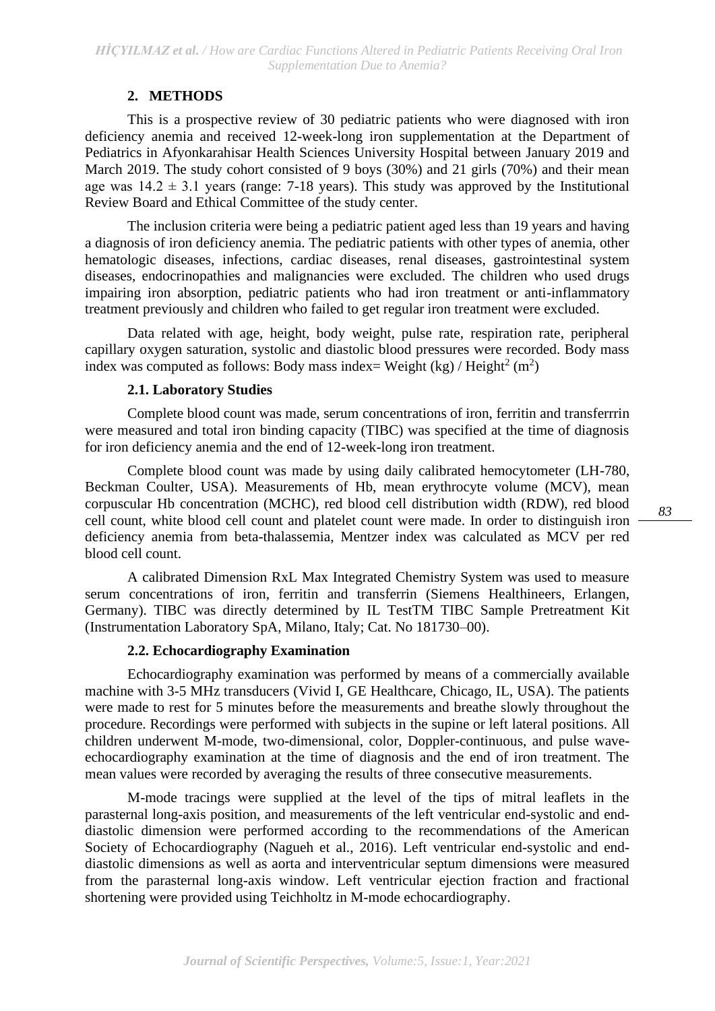## **2. METHODS**

This is a prospective review of 30 pediatric patients who were diagnosed with iron deficiency anemia and received 12-week-long iron supplementation at the Department of Pediatrics in Afyonkarahisar Health Sciences University Hospital between January 2019 and March 2019. The study cohort consisted of 9 boys (30%) and 21 girls (70%) and their mean age was  $14.2 \pm 3.1$  years (range: 7-18 years). This study was approved by the Institutional Review Board and Ethical Committee of the study center.

The inclusion criteria were being a pediatric patient aged less than 19 years and having a diagnosis of iron deficiency anemia. The pediatric patients with other types of anemia, other hematologic diseases, infections, cardiac diseases, renal diseases, gastrointestinal system diseases, endocrinopathies and malignancies were excluded. The children who used drugs impairing iron absorption, pediatric patients who had iron treatment or anti-inflammatory treatment previously and children who failed to get regular iron treatment were excluded.

Data related with age, height, body weight, pulse rate, respiration rate, peripheral capillary oxygen saturation, systolic and diastolic blood pressures were recorded. Body mass index was computed as follows: Body mass index= Weight  $(kg) /$  Height<sup>2</sup> (m<sup>2</sup>)

## **2.1. Laboratory Studies**

Complete blood count was made, serum concentrations of iron, ferritin and transferrrin were measured and total iron binding capacity (TIBC) was specified at the time of diagnosis for iron deficiency anemia and the end of 12-week-long iron treatment.

Complete blood count was made by using daily calibrated hemocytometer (LH-780, Beckman Coulter, USA). Measurements of Hb, mean erythrocyte volume (MCV), mean corpuscular Hb concentration (MCHC), red blood cell distribution width (RDW), red blood cell count, white blood cell count and platelet count were made. In order to distinguish iron deficiency anemia from beta-thalassemia, Mentzer index was calculated as MCV per red blood cell count.

A calibrated Dimension RxL Max Integrated Chemistry System was used to measure serum concentrations of iron, ferritin and transferrin (Siemens Healthineers, Erlangen, Germany). TIBC was directly determined by IL TestTM TIBC Sample Pretreatment Kit (Instrumentation Laboratory SpA, Milano, Italy; Cat. No 181730–00).

## **2.2. Echocardiography Examination**

Echocardiography examination was performed by means of a commercially available machine with 3-5 MHz transducers (Vivid I, GE Healthcare, Chicago, IL, USA). The patients were made to rest for 5 minutes before the measurements and breathe slowly throughout the procedure. Recordings were performed with subjects in the supine or left lateral positions. All children underwent M-mode, two-dimensional, color, Doppler-continuous, and pulse waveechocardiography examination at the time of diagnosis and the end of iron treatment. The mean values were recorded by averaging the results of three consecutive measurements.

M-mode tracings were supplied at the level of the tips of mitral leaflets in the parasternal long-axis position, and measurements of the left ventricular end-systolic and enddiastolic dimension were performed according to the recommendations of the American Society of Echocardiography (Nagueh et al., 2016). Left ventricular end-systolic and enddiastolic dimensions as well as aorta and interventricular septum dimensions were measured from the parasternal long-axis window. Left ventricular ejection fraction and fractional shortening were provided using Teichholtz in M-mode echocardiography.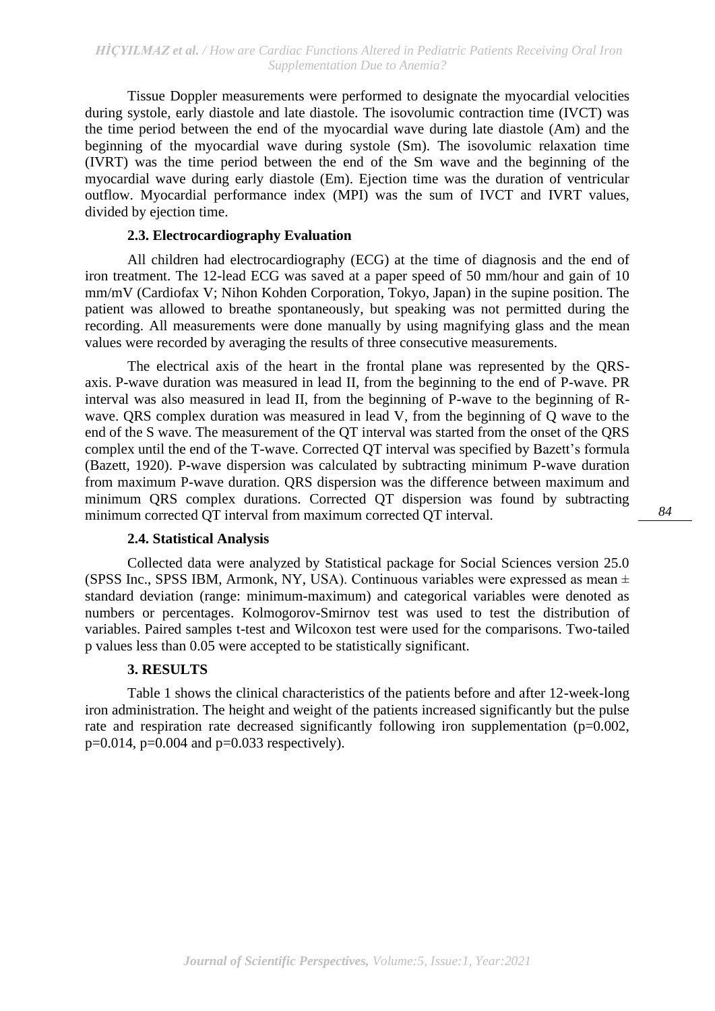Tissue Doppler measurements were performed to designate the myocardial velocities during systole, early diastole and late diastole. The isovolumic contraction time (IVCT) was the time period between the end of the myocardial wave during late diastole (Am) and the beginning of the myocardial wave during systole (Sm). The isovolumic relaxation time (IVRT) was the time period between the end of the Sm wave and the beginning of the myocardial wave during early diastole (Em). Ejection time was the duration of ventricular outflow. Myocardial performance index (MPI) was the sum of IVCT and IVRT values, divided by ejection time.

## **2.3. Electrocardiography Evaluation**

All children had electrocardiography (ECG) at the time of diagnosis and the end of iron treatment. The 12-lead ECG was saved at a paper speed of 50 mm/hour and gain of 10 mm/mV (Cardiofax V; Nihon Kohden Corporation, Tokyo, Japan) in the supine position. The patient was allowed to breathe spontaneously, but speaking was not permitted during the recording. All measurements were done manually by using magnifying glass and the mean values were recorded by averaging the results of three consecutive measurements.

The electrical axis of the heart in the frontal plane was represented by the QRSaxis. P-wave duration was measured in lead II, from the beginning to the end of P-wave. PR interval was also measured in lead II, from the beginning of P-wave to the beginning of Rwave. ORS complex duration was measured in lead V, from the beginning of O wave to the end of the S wave. The measurement of the QT interval was started from the onset of the QRS complex until the end of the T-wave. Corrected QT interval was specified by Bazett's formula (Bazett, 1920). P-wave dispersion was calculated by subtracting minimum P-wave duration from maximum P-wave duration. QRS dispersion was the difference between maximum and minimum QRS complex durations. Corrected QT dispersion was found by subtracting minimum corrected QT interval from maximum corrected QT interval.

#### **2.4. Statistical Analysis**

Collected data were analyzed by Statistical package for Social Sciences version 25.0 (SPSS Inc., SPSS IBM, Armonk, NY, USA). Continuous variables were expressed as mean  $\pm$ standard deviation (range: minimum-maximum) and categorical variables were denoted as numbers or percentages. Kolmogorov-Smirnov test was used to test the distribution of variables. Paired samples t-test and Wilcoxon test were used for the comparisons. Two-tailed p values less than 0.05 were accepted to be statistically significant.

#### **3. RESULTS**

Table 1 shows the clinical characteristics of the patients before and after 12-week-long iron administration. The height and weight of the patients increased significantly but the pulse rate and respiration rate decreased significantly following iron supplementation (p=0.002,  $p=0.014$ ,  $p=0.004$  and  $p=0.033$  respectively).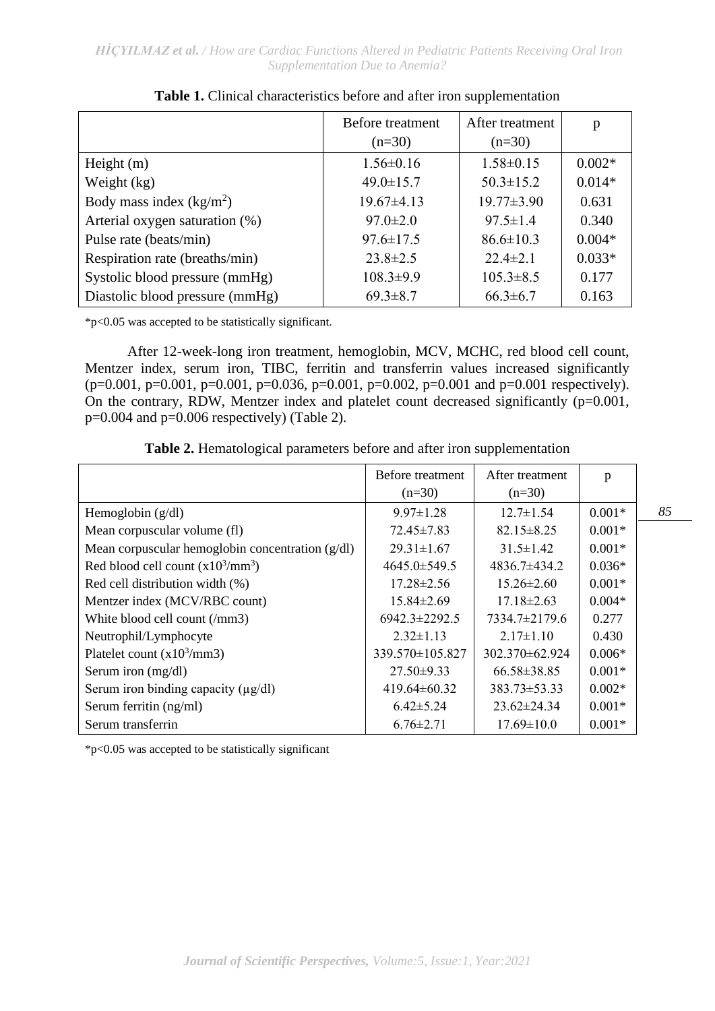|                                 | Before treatment | After treatment  | p        |
|---------------------------------|------------------|------------------|----------|
|                                 | $(n=30)$         | $(n=30)$         |          |
| Height $(m)$                    | $1.56 \pm 0.16$  | $1.58 \pm 0.15$  | $0.002*$ |
| Weight (kg)                     | $49.0 \pm 15.7$  | $50.3 \pm 15.2$  | $0.014*$ |
| Body mass index $(kg/m2)$       | $19.67\pm4.13$   | $19.77 \pm 3.90$ | 0.631    |
| Arterial oxygen saturation (%)  | $97.0 \pm 2.0$   | $97.5 \pm 1.4$   | 0.340    |
| Pulse rate (beats/min)          | $97.6 \pm 17.5$  | $86.6 \pm 10.3$  | $0.004*$ |
| Respiration rate (breaths/min)  | $23.8 \pm 2.5$   | $22.4 \pm 2.1$   | $0.033*$ |
| Systolic blood pressure (mmHg)  | $108.3 \pm 9.9$  | $105.3 \pm 8.5$  | 0.177    |
| Diastolic blood pressure (mmHg) | $69.3 \pm 8.7$   | $66.3 \pm 6.7$   | 0.163    |

\*p<0.05 was accepted to be statistically significant.

After 12-week-long iron treatment, hemoglobin, MCV, MCHC, red blood cell count, Mentzer index, serum iron, TIBC, ferritin and transferrin values increased significantly (p=0.001, p=0.001, p=0.001, p=0.036, p=0.001, p=0.002, p=0.001 and p=0.001 respectively). On the contrary, RDW, Mentzer index and platelet count decreased significantly (p=0.001,  $p=0.004$  and  $p=0.006$  respectively) (Table 2).

| <b>Table 2.</b> Hematological parameters before and after iron supplementation |  |  |  |
|--------------------------------------------------------------------------------|--|--|--|
|--------------------------------------------------------------------------------|--|--|--|

|                                                    | Before treatment<br>$(n=30)$ | After treatment<br>$(n=30)$ | p        |   |
|----------------------------------------------------|------------------------------|-----------------------------|----------|---|
| Hemoglobin $(g/dl)$                                | $9.97 \pm 1.28$              | $12.7 \pm 1.54$             | $0.001*$ | δ |
| Mean corpuscular volume (fl)                       | $72.45 \pm 7.83$             | $82.15 \pm 8.25$            | $0.001*$ |   |
| Mean corpuscular hemoglobin concentration $(g/dl)$ | $29.31 \pm 1.67$             | $31.5 \pm 1.42$             | $0.001*$ |   |
| Red blood cell count $(x10^3/\text{mm}^3)$         | 4645.0±549.5                 | 4836.7±434.2                | $0.036*$ |   |
| Red cell distribution width (%)                    | $17.28 \pm 2.56$             | $15.26 \pm 2.60$            | $0.001*$ |   |
| Mentzer index (MCV/RBC count)                      | 15.84±2.69                   | $17.18 \pm 2.63$            | $0.004*$ |   |
| White blood cell count (/mm3)                      | $6942.3 \pm 2292.5$          | $7334.7\pm2179.6$           | 0.277    |   |
| Neutrophil/Lymphocyte                              | $2.32 \pm 1.13$              | $2.17 \pm 1.10$             | 0.430    |   |
| Platelet count $(x10^3/\text{mm}3)$                | 339.570±105.827              | 302.370±62.924              | $0.006*$ |   |
| Serum iron (mg/dl)                                 | $27.50 \pm 9.33$             | $66.58 \pm 38.85$           | $0.001*$ |   |
| Serum iron binding capacity $(\mu g/dl)$           | 419.64±60.32                 | $383.73 \pm 53.33$          | $0.002*$ |   |
| Serum ferritin (ng/ml)                             | $6.42 \pm 5.24$              | $23.62 \pm 24.34$           | $0.001*$ |   |
| Serum transferrin                                  | $6.76 \pm 2.71$              | $17.69 \pm 10.0$            | $0.001*$ |   |

\*p<0.05 was accepted to be statistically significant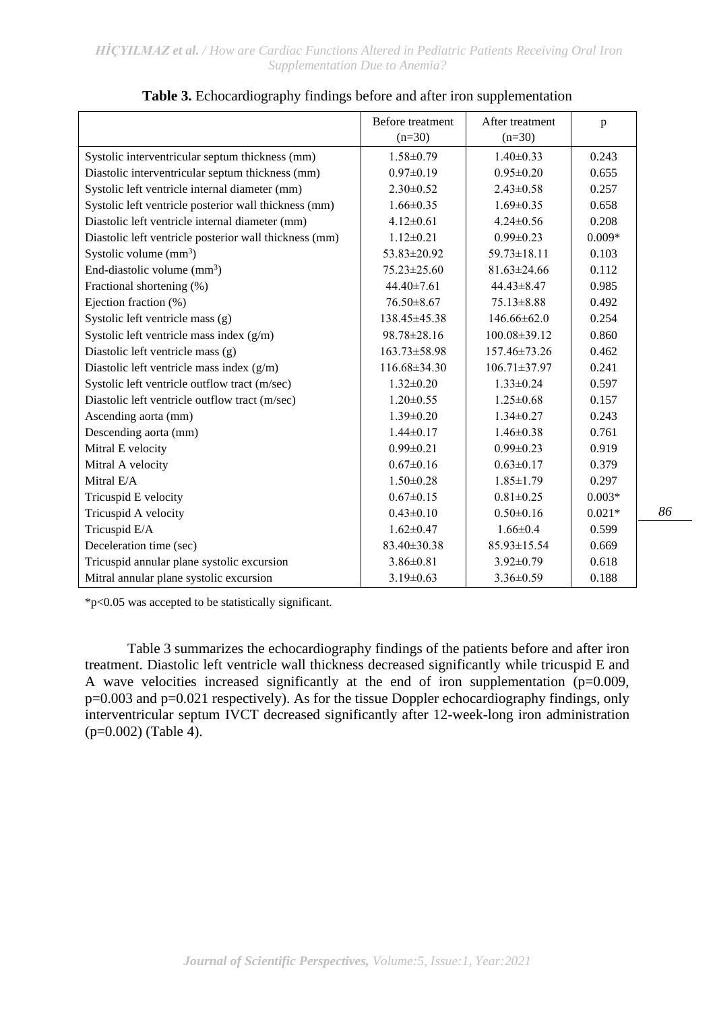|                                                        | Before treatment | After treatment    | p        |
|--------------------------------------------------------|------------------|--------------------|----------|
|                                                        | $(n=30)$         | $(n=30)$           |          |
| Systolic interventricular septum thickness (mm)        | $1.58 \pm 0.79$  | $1.40 \pm 0.33$    | 0.243    |
| Diastolic interventricular septum thickness (mm)       | $0.97 \pm 0.19$  | $0.95 \pm 0.20$    | 0.655    |
| Systolic left ventricle internal diameter (mm)         | $2.30 \pm 0.52$  | $2.43 \pm 0.58$    | 0.257    |
| Systolic left ventricle posterior wall thickness (mm)  | $1.66 \pm 0.35$  | $1.69 \pm 0.35$    | 0.658    |
| Diastolic left ventricle internal diameter (mm)        | $4.12 \pm 0.61$  | $4.24 \pm 0.56$    | 0.208    |
| Diastolic left ventricle posterior wall thickness (mm) | $1.12 \pm 0.21$  | $0.99 \pm 0.23$    | $0.009*$ |
| Systolic volume $(mm3)$                                | 53.83±20.92      | $59.73 \pm 18.11$  | 0.103    |
| End-diastolic volume $(mm^3)$                          | 75.23±25.60      | $81.63 \pm 24.66$  | 0.112    |
| Fractional shortening (%)                              | $44.40 \pm 7.61$ | 44.43±8.47         | 0.985    |
| Ejection fraction (%)                                  | 76.50 ±8.67      | 75.13±8.88         | 0.492    |
| Systolic left ventricle mass (g)                       | 138.45±45.38     | $146.66 \pm 62.0$  | 0.254    |
| Systolic left ventricle mass index (g/m)               | 98.78±28.16      | 100.08±39.12       | 0.860    |
| Diastolic left ventricle mass (g)                      | 163.73±58.98     | 157.46±73.26       | 0.462    |
| Diastolic left ventricle mass index (g/m)              | 116.68±34.30     | $106.71 \pm 37.97$ | 0.241    |
| Systolic left ventricle outflow tract (m/sec)          | $1.32 \pm 0.20$  | $1.33 \pm 0.24$    | 0.597    |
| Diastolic left ventricle outflow tract (m/sec)         | $1.20 \pm 0.55$  | $1.25 \pm 0.68$    | 0.157    |
| Ascending aorta (mm)                                   | $1.39 \pm 0.20$  | $1.34 \pm 0.27$    | 0.243    |
| Descending aorta (mm)                                  | $1.44 \pm 0.17$  | $1.46 \pm 0.38$    | 0.761    |
| Mitral E velocity                                      | $0.99 \pm 0.21$  | $0.99 \pm 0.23$    | 0.919    |
| Mitral A velocity                                      | $0.67 \pm 0.16$  | $0.63 \pm 0.17$    | 0.379    |
| Mitral E/A                                             | $1.50 \pm 0.28$  | $1.85 \pm 1.79$    | 0.297    |
| Tricuspid E velocity                                   | $0.67 \pm 0.15$  | $0.81 \pm 0.25$    | $0.003*$ |
| Tricuspid A velocity                                   | $0.43 \pm 0.10$  | $0.50 \pm 0.16$    | $0.021*$ |
| Tricuspid E/A                                          | $1.62 \pm 0.47$  | $1.66 \pm 0.4$     | 0.599    |
| Deceleration time (sec)                                | 83.40±30.38      | 85.93±15.54        | 0.669    |
| Tricuspid annular plane systolic excursion             | $3.86 \pm 0.81$  | $3.92 \pm 0.79$    | 0.618    |
| Mitral annular plane systolic excursion                | $3.19 \pm 0.63$  | $3.36 \pm 0.59$    | 0.188    |

|  |  |  | Table 3. Echocardiography findings before and after iron supplementation |
|--|--|--|--------------------------------------------------------------------------|
|  |  |  |                                                                          |

\*p<0.05 was accepted to be statistically significant.

Table 3 summarizes the echocardiography findings of the patients before and after iron treatment. Diastolic left ventricle wall thickness decreased significantly while tricuspid E and A wave velocities increased significantly at the end of iron supplementation (p=0.009, p=0.003 and p=0.021 respectively). As for the tissue Doppler echocardiography findings, only interventricular septum IVCT decreased significantly after 12-week-long iron administration (p=0.002) (Table 4).

*86*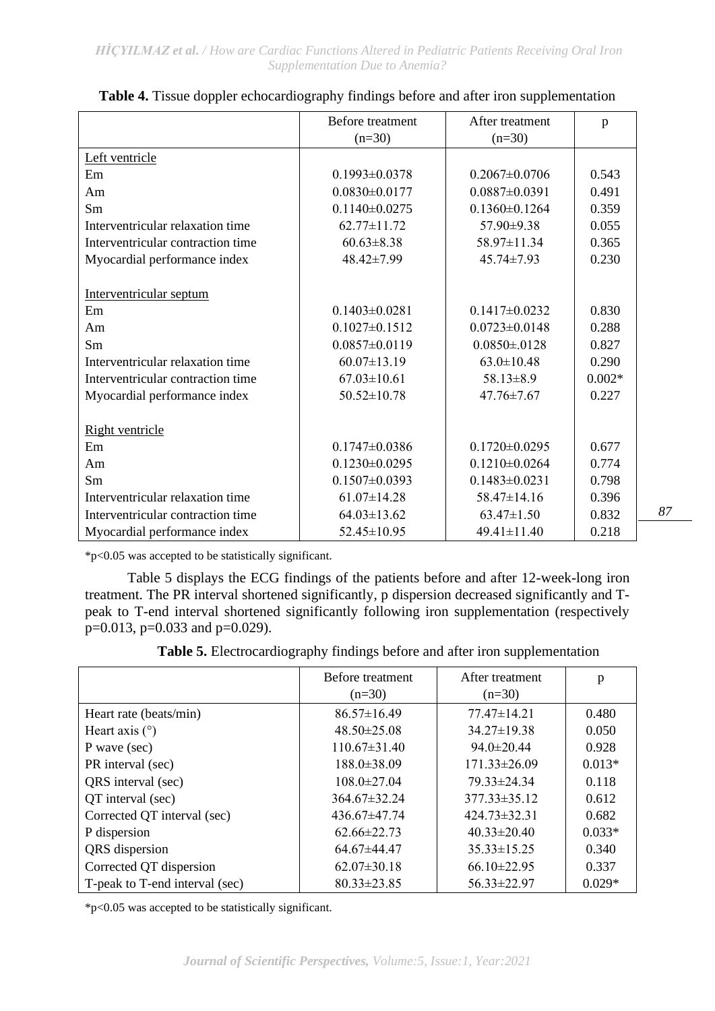|                                   | Before treatment    | After treatment     | p        |
|-----------------------------------|---------------------|---------------------|----------|
|                                   | $(n=30)$            | $(n=30)$            |          |
| Left ventricle                    |                     |                     |          |
| Em                                | $0.1993 \pm 0.0378$ | $0.2067 \pm 0.0706$ | 0.543    |
| Am                                | $0.0830 \pm 0.0177$ | $0.0887 \pm 0.0391$ | 0.491    |
| Sm                                | $0.1140 \pm 0.0275$ | $0.1360 \pm 0.1264$ | 0.359    |
| Interventricular relaxation time  | $62.77 \pm 11.72$   | 57.90±9.38          | 0.055    |
| Interventricular contraction time | $60.63 \pm 8.38$    | 58.97±11.34         | 0.365    |
| Myocardial performance index      | 48.42±7.99          | $45.74 \pm 7.93$    | 0.230    |
|                                   |                     |                     |          |
| Interventricular septum           |                     |                     |          |
| Em                                | $0.1403 \pm 0.0281$ | $0.1417\pm0.0232$   | 0.830    |
| Am                                | $0.1027 \pm 0.1512$ | $0.0723 \pm 0.0148$ | 0.288    |
| Sm                                | $0.0857 \pm 0.0119$ | $0.0850 \pm 0128$   | 0.827    |
| Interventricular relaxation time  | $60.07 \pm 13.19$   | $63.0 \pm 10.48$    | 0.290    |
| Interventricular contraction time | $67.03 \pm 10.61$   | $58.13 \pm 8.9$     | $0.002*$ |
| Myocardial performance index      | 50.52±10.78         | $47.76 \pm 7.67$    | 0.227    |
|                                   |                     |                     |          |
| <b>Right ventricle</b>            |                     |                     |          |
| Em                                | $0.1747 \pm 0.0386$ | $0.1720 \pm 0.0295$ | 0.677    |
| Am                                | $0.1230 \pm 0.0295$ | $0.1210\pm0.0264$   | 0.774    |
| Sm                                | $0.1507 \pm 0.0393$ | $0.1483 \pm 0.0231$ | 0.798    |
| Interventricular relaxation time  | $61.07 \pm 14.28$   | 58.47±14.16         | 0.396    |
| Interventricular contraction time | $64.03 \pm 13.62$   | $63.47 \pm 1.50$    | 0.832    |
| Myocardial performance index      | 52.45±10.95         | 49.41±11.40         | 0.218    |

| Table 4. Tissue doppler echocardiography findings before and after iron supplementation |  |
|-----------------------------------------------------------------------------------------|--|
|-----------------------------------------------------------------------------------------|--|

\*p<0.05 was accepted to be statistically significant.

Table 5 displays the ECG findings of the patients before and after 12-week-long iron treatment. The PR interval shortened significantly, p dispersion decreased significantly and Tpeak to T-end interval shortened significantly following iron supplementation (respectively p=0.013, p=0.033 and p=0.029).

**Table 5.** Electrocardiography findings before and after iron supplementation

|                                | Before treatment   | After treatment    | p        |
|--------------------------------|--------------------|--------------------|----------|
|                                | $(n=30)$           | $(n=30)$           |          |
| Heart rate (beats/min)         | $86.57 \pm 16.49$  | 77.47±14.21        | 0.480    |
| Heart axis $(°)$               | $48.50 \pm 25.08$  | $34.27 \pm 19.38$  | 0.050    |
| P wave (sec)                   | $110.67 \pm 31.40$ | 94.0±20.44         | 0.928    |
| PR interval (sec)              | $188.0 \pm 38.09$  | $171.33 \pm 26.09$ | $0.013*$ |
| QRS interval (sec)             | $108.0 \pm 27.04$  | $79.33 \pm 24.34$  | 0.118    |
| QT interval (sec)              | 364.67±32.24       | $377.33 \pm 35.12$ | 0.612    |
| Corrected QT interval (sec)    | $436.67 \pm 47.74$ | $424.73 \pm 32.31$ | 0.682    |
| P dispersion                   | $62.66\pm22.73$    | $40.33 \pm 20.40$  | $0.033*$ |
| QRS dispersion                 | $64.67\pm44.47$    | $35.33 \pm 15.25$  | 0.340    |
| Corrected QT dispersion        | $62.07 \pm 30.18$  | $66.10 \pm 22.95$  | 0.337    |
| T-peak to T-end interval (sec) | $80.33 \pm 23.85$  | $56.33 \pm 22.97$  | $0.029*$ |

\*p<0.05 was accepted to be statistically significant.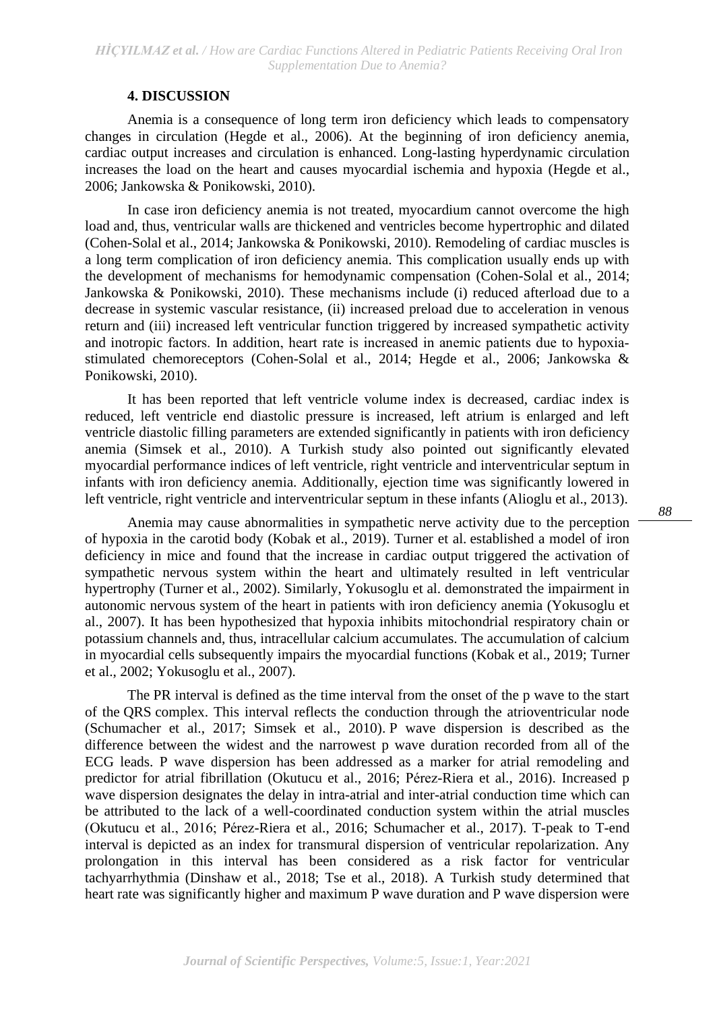## **4. DISCUSSION**

Anemia is a consequence of long term iron deficiency which leads to compensatory changes in circulation (Hegde et al., 2006). At the beginning of iron deficiency anemia, cardiac output increases and circulation is enhanced. Long-lasting hyperdynamic circulation increases the load on the heart and causes myocardial ischemia and hypoxia (Hegde et al., 2006; Jankowska & Ponikowski, 2010).

In case iron deficiency anemia is not treated, myocardium cannot overcome the high load and, thus, ventricular walls are thickened and ventricles become hypertrophic and dilated (Cohen-Solal et al., 2014; Jankowska & Ponikowski, 2010). Remodeling of cardiac muscles is a long term complication of iron deficiency anemia. This complication usually ends up with the development of mechanisms for hemodynamic compensation (Cohen-Solal et al., 2014; Jankowska & Ponikowski, 2010). These mechanisms include (i) reduced afterload due to a decrease in systemic vascular resistance, (ii) increased preload due to acceleration in venous return and (iii) increased left ventricular function triggered by increased sympathetic activity and inotropic factors. In addition, heart rate is increased in anemic patients due to hypoxiastimulated chemoreceptors (Cohen-Solal et al., 2014; Hegde et al., 2006; Jankowska & Ponikowski, 2010).

It has been reported that left ventricle volume index is decreased, cardiac index is reduced, left ventricle end diastolic pressure is increased, left atrium is enlarged and left ventricle diastolic filling parameters are extended significantly in patients with iron deficiency anemia (Simsek et al., 2010). A Turkish study also pointed out significantly elevated myocardial performance indices of left ventricle, right ventricle and interventricular septum in infants with iron deficiency anemia. Additionally, ejection time was significantly lowered in left ventricle, right ventricle and interventricular septum in these infants (Alioglu et al., 2013).

Anemia may cause abnormalities in sympathetic nerve activity due to the perception of hypoxia in the carotid body (Kobak et al., 2019). Turner et al. established a model of iron deficiency in mice and found that the increase in cardiac output triggered the activation of sympathetic nervous system within the heart and ultimately resulted in left ventricular hypertrophy (Turner et al., 2002). Similarly, Yokusoglu et al. demonstrated the impairment in autonomic nervous system of the heart in patients with iron deficiency anemia (Yokusoglu et al., 2007). It has been hypothesized that hypoxia inhibits mitochondrial respiratory chain or potassium channels and, thus, intracellular calcium accumulates. The accumulation of calcium in myocardial cells subsequently impairs the myocardial functions (Kobak et al., 2019; Turner et al., 2002; Yokusoglu et al., 2007).

The PR interval is defined as the time interval from the onset of the p wave to the start of the QRS complex. This interval reflects the conduction through the atrioventricular node (Schumacher et al., 2017; Simsek et al., 2010). P wave dispersion is described as the difference between the widest and the narrowest p wave duration recorded from all of the ECG leads. P wave dispersion has been addressed as a marker for atrial remodeling and predictor for atrial fibrillation (Okutucu et al., 2016; Pérez-Riera et al., 2016). Increased p wave dispersion designates the delay in intra-atrial and inter-atrial conduction time which can be attributed to the lack of a well-coordinated conduction system within the atrial muscles (Okutucu et al., 2016; Pérez-Riera et al., 2016; Schumacher et al., 2017). T-peak to T-end interval is depicted as an index for transmural dispersion of ventricular repolarization. Any prolongation in this interval has been considered as a risk factor for ventricular tachyarrhythmia (Dinshaw et al., 2018; Tse et al., 2018). A Turkish study determined that heart rate was significantly higher and maximum P wave duration and P wave dispersion were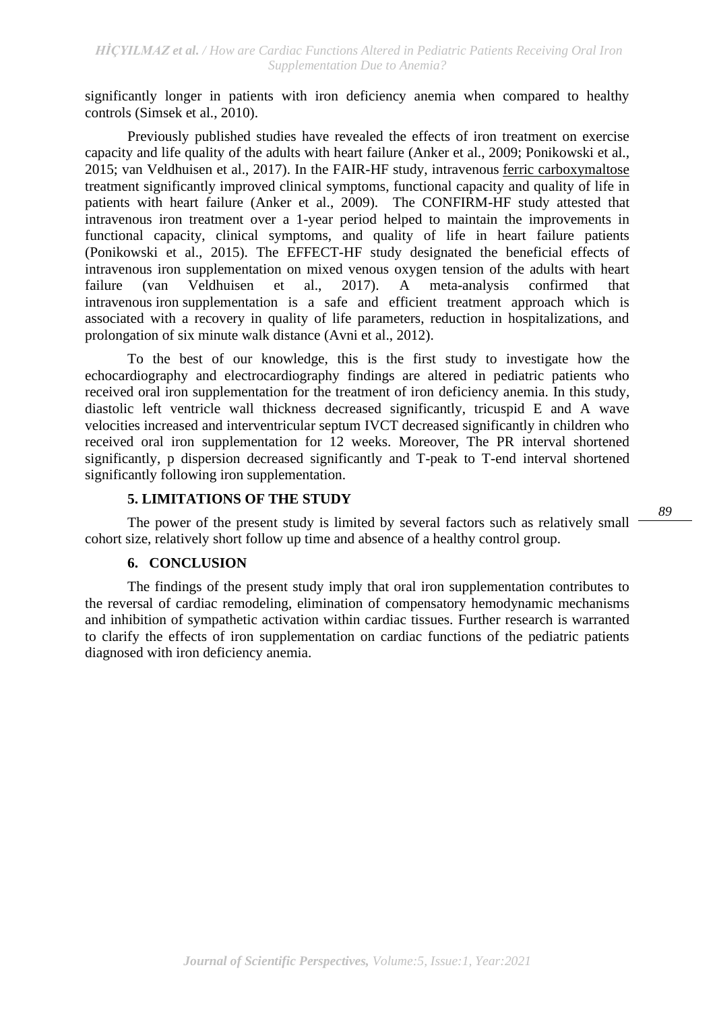significantly longer in patients with iron deficiency anemia when compared to healthy controls (Simsek et al., 2010).

Previously published studies have revealed the effects of iron treatment on exercise capacity and life quality of the adults with heart failure (Anker et al., 2009; Ponikowski et al., 2015; van Veldhuisen et al., 2017). In the FAIR-HF study, intravenous [ferric carboxymaltose](https://www.sciencedirect.com/topics/nursing-and-health-professions/ferric-carboxymaltose) treatment significantly improved clinical symptoms, functional capacity and quality of life in patients with heart failure (Anker et al., 2009). The CONFIRM-HF study attested that intravenous iron treatment over a 1-year period helped to maintain the improvements in functional capacity, clinical symptoms, and quality of life in heart failure patients (Ponikowski et al., 2015). The EFFECT-HF study designated the beneficial effects of intravenous iron supplementation on mixed venous oxygen tension of the adults with heart failure (van Veldhuisen et al., 2017). A meta-analysis confirmed that intravenous iron supplementation is a safe and efficient treatment approach which is associated with a recovery in quality of life parameters, reduction in hospitalizations, and prolongation of six minute walk distance (Avni et al., 2012).

To the best of our knowledge, this is the first study to investigate how the echocardiography and electrocardiography findings are altered in pediatric patients who received oral iron supplementation for the treatment of iron deficiency anemia. In this study, diastolic left ventricle wall thickness decreased significantly, tricuspid E and A wave velocities increased and interventricular septum IVCT decreased significantly in children who received oral iron supplementation for 12 weeks. Moreover, The PR interval shortened significantly, p dispersion decreased significantly and T-peak to T-end interval shortened significantly following iron supplementation.

## **5. LIMITATIONS OF THE STUDY**

The power of the present study is limited by several factors such as relatively small cohort size, relatively short follow up time and absence of a healthy control group.

## **6. CONCLUSION**

The findings of the present study imply that oral iron supplementation contributes to the reversal of cardiac remodeling, elimination of compensatory hemodynamic mechanisms and inhibition of sympathetic activation within cardiac tissues. Further research is warranted to clarify the effects of iron supplementation on cardiac functions of the pediatric patients diagnosed with iron deficiency anemia.

*89*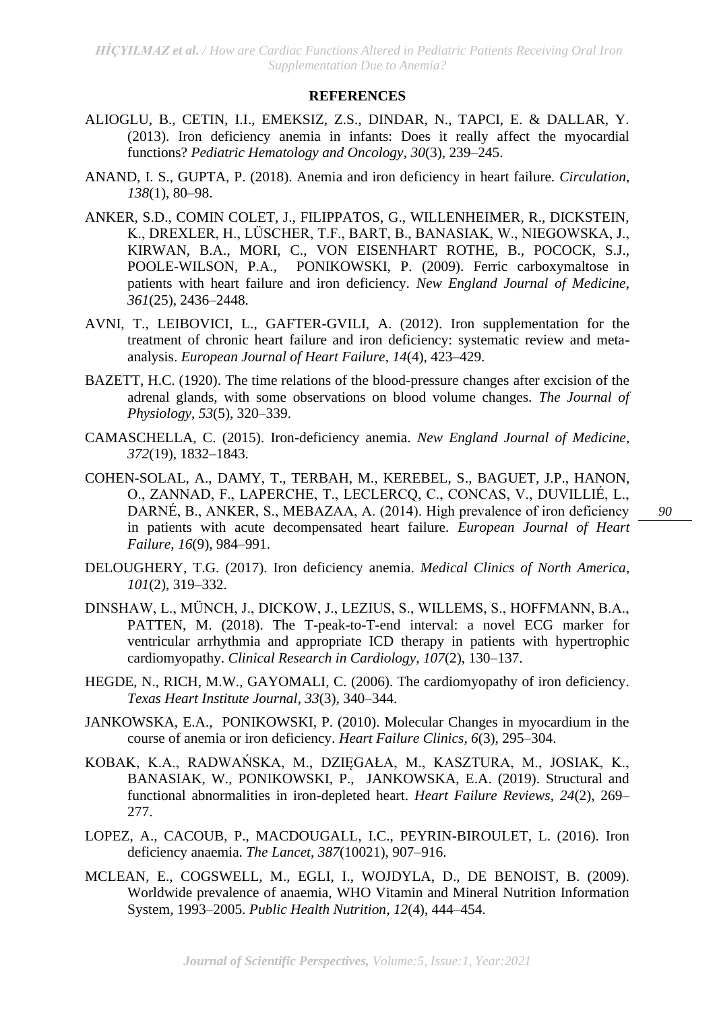*HİÇYILMAZ et al. / How are Cardiac Functions Altered in Pediatric Patients Receiving Oral Iron Supplementation Due to Anemia?*

### **REFERENCES**

- ALIOGLU, B., CETIN, I.I., EMEKSIZ, Z.S., DINDAR, N., TAPCI, E. & DALLAR, Y. (2013). Iron deficiency anemia in infants: Does it really affect the myocardial functions? *Pediatric Hematology and Oncology*, *30*(3), 239–245.
- ANAND, I. S., GUPTA, P. (2018). Anemia and iron deficiency in heart failure. *Circulation*, *138*(1), 80–98.
- ANKER, S.D., COMIN COLET, J., FILIPPATOS, G., WILLENHEIMER, R., DICKSTEIN, K., DREXLER, H., LÜSCHER, T.F., BART, B., BANASIAK, W., NIEGOWSKA, J., KIRWAN, B.A., MORI, C., VON EISENHART ROTHE, B., POCOCK, S.J., POOLE-WILSON, P.A., PONIKOWSKI, P. (2009). Ferric carboxymaltose in patients with heart failure and iron deficiency. *New England Journal of Medicine*, *361*(25), 2436–2448.
- AVNI, T., LEIBOVICI, L., GAFTER-GVILI, A. (2012). Iron supplementation for the treatment of chronic heart failure and iron deficiency: systematic review and metaanalysis. *European Journal of Heart Failure*, *14*(4), 423–429.
- BAZETT, H.C. (1920). The time relations of the blood-pressure changes after excision of the adrenal glands, with some observations on blood volume changes. *The Journal of Physiology*, *53*(5), 320–339.
- CAMASCHELLA, C. (2015). Iron-deficiency anemia. *New England Journal of Medicine*, *372*(19), 1832–1843.
- COHEN-SOLAL, A., DAMY, T., TERBAH, M., KEREBEL, S., BAGUET, J.P., HANON, O., ZANNAD, F., LAPERCHE, T., LECLERCQ, C., CONCAS, V., DUVILLIÉ, L., DARNÉ, B., ANKER, S., MEBAZAA, A. (2014). High prevalence of iron deficiency in patients with acute decompensated heart failure. *European Journal of Heart Failure*, *16*(9), 984–991.

- DELOUGHERY, T.G. (2017). Iron deficiency anemia. *Medical Clinics of North America*, *101*(2), 319–332.
- DINSHAW, L., MÜNCH, J., DICKOW, J., LEZIUS, S., WILLEMS, S., HOFFMANN, B.A., PATTEN, M. (2018). The T-peak-to-T-end interval: a novel ECG marker for ventricular arrhythmia and appropriate ICD therapy in patients with hypertrophic cardiomyopathy. *Clinical Research in Cardiology*, *107*(2), 130–137.
- HEGDE, N., RICH, M.W., GAYOMALI, C. (2006). The cardiomyopathy of iron deficiency. *Texas Heart Institute Journal*, *33*(3), 340–344.
- JANKOWSKA, E.A., PONIKOWSKI, P. (2010). Molecular Changes in myocardium in the course of anemia or iron deficiency. *Heart Failure Clinics*, *6*(3), 295–304.
- KOBAK, K.A., RADWAŃSKA, M., DZIĘGAŁA, M., KASZTURA, M., JOSIAK, K., BANASIAK, W., PONIKOWSKI, P., JANKOWSKA, E.A. (2019). Structural and functional abnormalities in iron-depleted heart. *Heart Failure Reviews*, *24*(2), 269– 277.
- LOPEZ, A., CACOUB, P., MACDOUGALL, I.C., PEYRIN-BIROULET, L. (2016). Iron deficiency anaemia. *The Lancet*, *387*(10021), 907–916.
- MCLEAN, E., COGSWELL, M., EGLI, I., WOJDYLA, D., DE BENOIST, B. (2009). Worldwide prevalence of anaemia, WHO Vitamin and Mineral Nutrition Information System, 1993–2005. *Public Health Nutrition*, *12*(4), 444–454.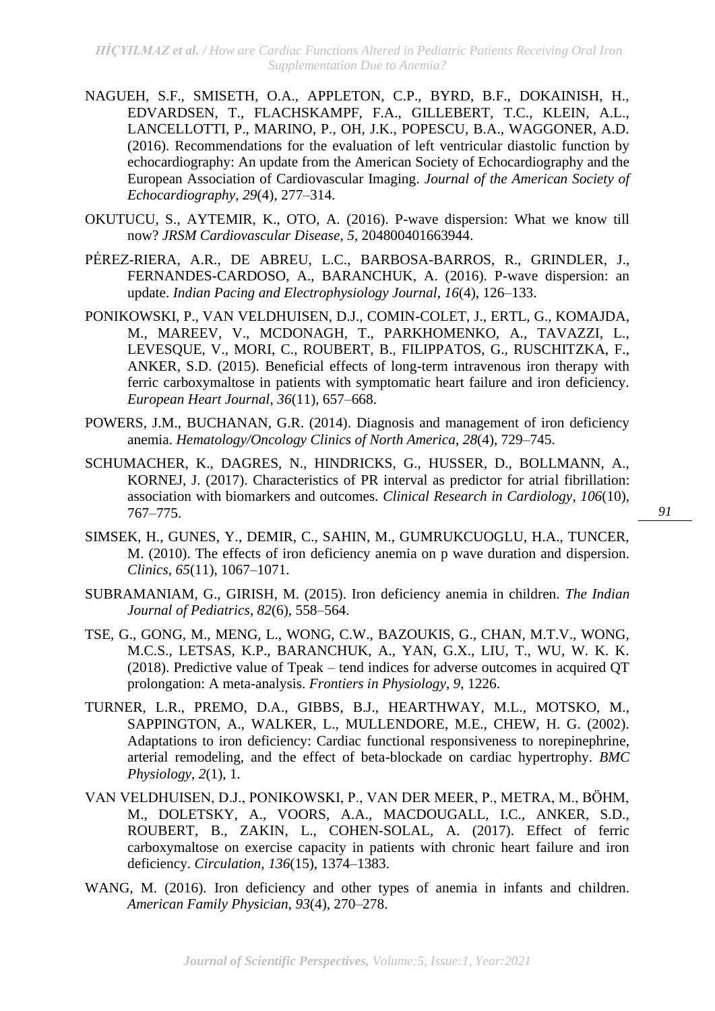- NAGUEH, S.F., SMISETH, O.A., APPLETON, C.P., BYRD, B.F., DOKAINISH, H., EDVARDSEN, T., FLACHSKAMPF, F.A., GILLEBERT, T.C., KLEIN, A.L., LANCELLOTTI, P., MARINO, P., OH, J.K., POPESCU, B.A., WAGGONER, A.D. (2016). Recommendations for the evaluation of left ventricular diastolic function by echocardiography: An update from the American Society of Echocardiography and the European Association of Cardiovascular Imaging. *Journal of the American Society of Echocardiography*, *29*(4), 277–314.
- OKUTUCU, S., AYTEMIR, K., OTO, A. (2016). P-wave dispersion: What we know till now? *JRSM Cardiovascular Disease*, *5*, 204800401663944.
- PÉREZ-RIERA, A.R., DE ABREU, L.C., BARBOSA-BARROS, R., GRINDLER, J., FERNANDES-CARDOSO, A., BARANCHUK, A. (2016). P-wave dispersion: an update. *Indian Pacing and Electrophysiology Journal*, *16*(4), 126–133.
- PONIKOWSKI, P., VAN VELDHUISEN, D.J., COMIN-COLET, J., ERTL, G., KOMAJDA, M., MAREEV, V., MCDONAGH, T., PARKHOMENKO, A., TAVAZZI, L., LEVESQUE, V., MORI, C., ROUBERT, B., FILIPPATOS, G., RUSCHITZKA, F., ANKER, S.D. (2015). Beneficial effects of long-term intravenous iron therapy with ferric carboxymaltose in patients with symptomatic heart failure and iron deficiency. *European Heart Journal*, *36*(11), 657–668.
- POWERS, J.M., BUCHANAN, G.R. (2014). Diagnosis and management of iron deficiency anemia. *Hematology/Oncology Clinics of North America*, *28*(4), 729–745.
- SCHUMACHER, K., DAGRES, N., HINDRICKS, G., HUSSER, D., BOLLMANN, A., KORNEJ, J. (2017). Characteristics of PR interval as predictor for atrial fibrillation: association with biomarkers and outcomes. *Clinical Research in Cardiology*, *106*(10), 767–775.
- SIMSEK, H., GUNES, Y., DEMIR, C., SAHIN, M., GUMRUKCUOGLU, H.A., TUNCER, M. (2010). The effects of iron deficiency anemia on p wave duration and dispersion. *Clinics*, *65*(11), 1067–1071.
- SUBRAMANIAM, G., GIRISH, M. (2015). Iron deficiency anemia in children. *The Indian Journal of Pediatrics*, *82*(6), 558–564.
- TSE, G., GONG, M., MENG, L., WONG, C.W., BAZOUKIS, G., CHAN, M.T.V., WONG, M.C.S., LETSAS, K.P., BARANCHUK, A., YAN, G.X., LIU, T., WU, W. K. K. (2018). Predictive value of Tpeak – tend indices for adverse outcomes in acquired QT prolongation: A meta-analysis. *Frontiers in Physiology*, *9*, 1226.
- TURNER, L.R., PREMO, D.A., GIBBS, B.J., HEARTHWAY, M.L., MOTSKO, M., SAPPINGTON, A., WALKER, L., MULLENDORE, M.E., CHEW, H. G. (2002). Adaptations to iron deficiency: Cardiac functional responsiveness to norepinephrine, arterial remodeling, and the effect of beta-blockade on cardiac hypertrophy. *BMC Physiology*, *2*(1), 1.
- VAN VELDHUISEN, D.J., PONIKOWSKI, P., VAN DER MEER, P., METRA, M., BÖHM, M., DOLETSKY, A., VOORS, A.A., MACDOUGALL, I.C., ANKER, S.D., ROUBERT, B., ZAKIN, L., COHEN-SOLAL, A. (2017). Effect of ferric carboxymaltose on exercise capacity in patients with chronic heart failure and iron deficiency. *Circulation*, *136*(15), 1374–1383.
- WANG, M. (2016). Iron deficiency and other types of anemia in infants and children. *American Family Physician*, *93*(4), 270–278.